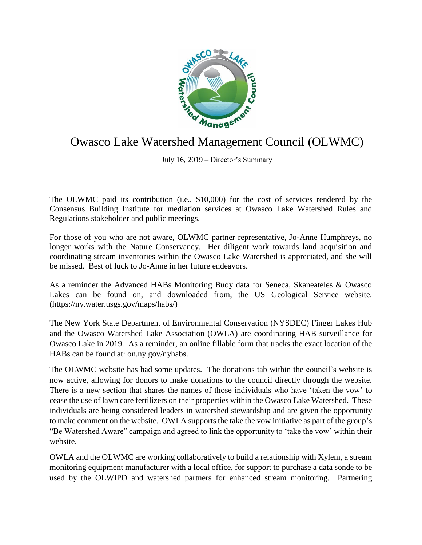

## Owasco Lake Watershed Management Council (OLWMC)

July 16, 2019 – Director's Summary

The OLWMC paid its contribution (i.e., \$10,000) for the cost of services rendered by the Consensus Building Institute for mediation services at Owasco Lake Watershed Rules and Regulations stakeholder and public meetings.

For those of you who are not aware, OLWMC partner representative, Jo-Anne Humphreys, no longer works with the Nature Conservancy. Her diligent work towards land acquisition and coordinating stream inventories within the Owasco Lake Watershed is appreciated, and she will be missed. Best of luck to Jo-Anne in her future endeavors.

As a reminder the Advanced HABs Monitoring Buoy data for Seneca, Skaneateles & Owasco Lakes can be found on, and downloaded from, the US Geological Service website. [\(https://ny.water.usgs.gov/maps/habs/\)](https://ny.water.usgs.gov/maps/habs/)

The New York State Department of Environmental Conservation (NYSDEC) Finger Lakes Hub and the Owasco Watershed Lake Association (OWLA) are coordinating HAB surveillance for Owasco Lake in 2019. As a reminder, an online fillable form that tracks the exact location of the HABs can be found at: on.ny.gov/nyhabs.

The OLWMC website has had some updates. The donations tab within the council's website is now active, allowing for donors to make donations to the council directly through the website. There is a new section that shares the names of those individuals who have 'taken the vow' to cease the use of lawn care fertilizers on their properties within the Owasco Lake Watershed. These individuals are being considered leaders in watershed stewardship and are given the opportunity to make comment on the website. OWLA supports the take the vow initiative as part of the group's "Be Watershed Aware" campaign and agreed to link the opportunity to 'take the vow' within their website.

OWLA and the OLWMC are working collaboratively to build a relationship with Xylem, a stream monitoring equipment manufacturer with a local office, for support to purchase a data sonde to be used by the OLWIPD and watershed partners for enhanced stream monitoring. Partnering